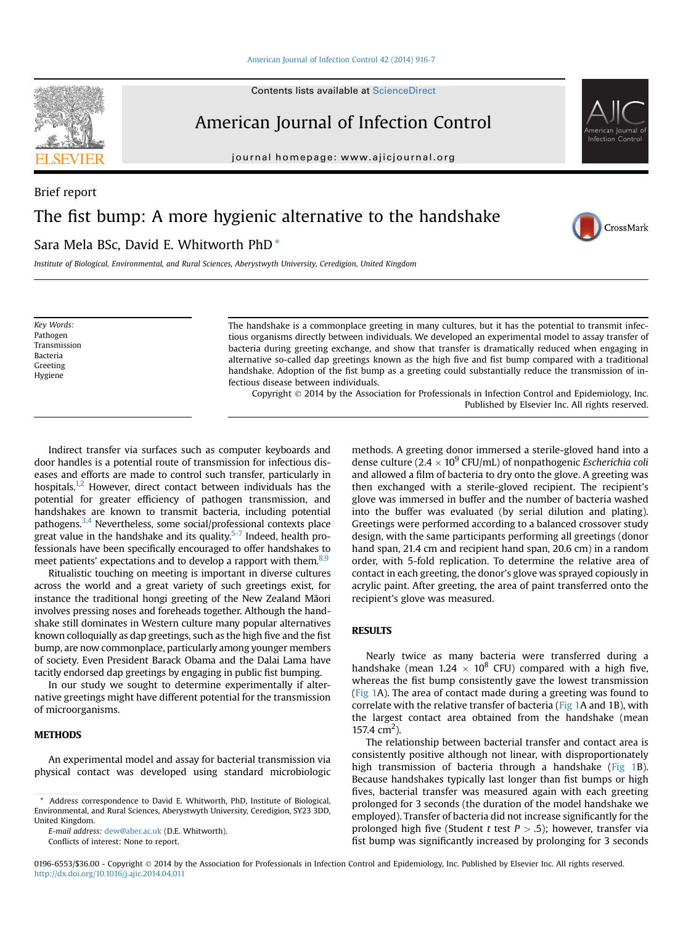#### [American Journal of Infection Control 42 \(2014\) 916-7](http://dx.doi.org/10.1016/j.ajic.2014.04.011)

Contents lists available at ScienceDirect

# American Journal of Infection Control

journal homepage: [www.ajicjournal.org](http://www.ajicjournal.org)

# Brief report The fist bump: A more hygienic alternative to the handshake Sara Mela BSc, David E. Whitworth PhD \*

Institute of Biological, Environmental, and Rural Sciences, Aberystwyth University, Ceredigion, United Kingdom

Key Words: Pathogen Transmission Bacteria Greeting Hygiene

The handshake is a commonplace greeting in many cultures, but it has the potential to transmit infectious organisms directly between individuals. We developed an experimental model to assay transfer of bacteria during greeting exchange, and show that transfer is dramatically reduced when engaging in alternative so-called dap greetings known as the high five and fist bump compared with a traditional handshake. Adoption of the fist bump as a greeting could substantially reduce the transmission of infectious disease between individuals.

Copyright  $\odot$  2014 by the Association for Professionals in Infection Control and Epidemiology, Inc. Published by Elsevier Inc. All rights reserved.

Indirect transfer via surfaces such as computer keyboards and door handles is a potential route of transmission for infectious diseases and efforts are made to control such transfer, particularly in hospitals.<sup>1,2</sup> However, direct contact between individuals has the potential for greater efficiency of pathogen transmission, and handshakes are known to transmit bacteria, including potential pathogens.<sup>3,4</sup> Nevertheless, some social/professional contexts place great value in the handshake and its quality.<sup>[5-7](#page-1-0)</sup> Indeed, health professionals have been specifically encouraged to offer handshakes to meet patients' expectations and to develop a rapport with them.  $8.9$ 

Ritualistic touching on meeting is important in diverse cultures across the world and a great variety of such greetings exist, for instance the traditional hongi greeting of the New Zealand Mãori involves pressing noses and foreheads together. Although the handshake still dominates in Western culture many popular alternatives known colloquially as dap greetings, such as the high five and the fist bump, are now commonplace, particularly among younger members of society. Even President Barack Obama and the Dalai Lama have tacitly endorsed dap greetings by engaging in public fist bumping.

In our study we sought to determine experimentally if alternative greetings might have different potential for the transmission of microorganisms.

## **METHODS**

An experimental model and assay for bacterial transmission via physical contact was developed using standard microbiologic

E-mail address: [dew@aber.ac.uk](mailto:dew@aber.ac.uk) (D.E. Whitworth).

Conflicts of interest: None to report.

methods. A greeting donor immersed a sterile-gloved hand into a dense culture (2.4  $\times$  10<sup>9</sup> CFU/mL) of nonpathogenic *Escherichia coli* and allowed a film of bacteria to dry onto the glove. A greeting was then exchanged with a sterile-gloved recipient. The recipient's glove was immersed in buffer and the number of bacteria washed into the buffer was evaluated (by serial dilution and plating). Greetings were performed according to a balanced crossover study design, with the same participants performing all greetings (donor hand span, 21.4 cm and recipient hand span, 20.6 cm) in a random order, with 5-fold replication. To determine the relative area of contact in each greeting, the donor's glove was sprayed copiously in acrylic paint. After greeting, the area of paint transferred onto the recipient's glove was measured.

## **RESULTS**

Nearly twice as many bacteria were transferred during a handshake (mean 1.24  $\times$  10<sup>8</sup> CFU) compared with a high five, whereas the fist bump consistently gave the lowest transmission [\(Fig 1](#page-1-0)A). The area of contact made during a greeting was found to correlate with the relative transfer of bacteria [\(Fig 1](#page-1-0)A and 1B), with the largest contact area obtained from the handshake (mean 157.4  $\text{cm}^2$ ).

The relationship between bacterial transfer and contact area is consistently positive although not linear, with disproportionately high transmission of bacteria through a handshake ([Fig 1](#page-1-0)B). Because handshakes typically last longer than fist bumps or high fives, bacterial transfer was measured again with each greeting prolonged for 3 seconds (the duration of the model handshake we employed). Transfer of bacteria did not increase significantly for the prolonged high five (Student t test  $P > .5$ ); however, transfer via fist bump was significantly increased by prolonging for 3 seconds







Address correspondence to David E. Whitworth, PhD, Institute of Biological, Environmental, and Rural Sciences, Aberystwyth University, Ceredigion, SY23 3DD, United Kingdom.

<sup>0196-6553/\$36.00 -</sup> Copyright © 2014 by the Association for Professionals in Infection Control and Epidemiology, Inc. Published by Elsevier Inc. All rights reserved. <http://dx.doi.org/10.1016/j.ajic.2014.04.011>